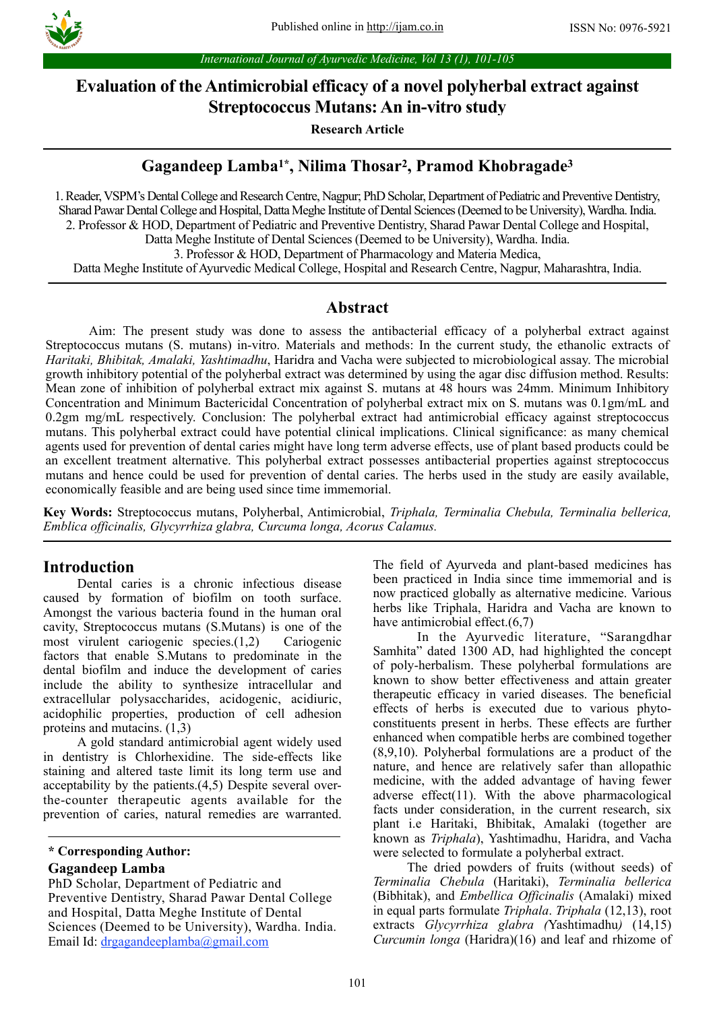

*International Journal of Ayurvedic Medicine, Vol 13 (1), 101-105*

# **Evaluation of the Antimicrobial efficacy of a novel polyherbal extract against Streptococcus Mutans: An in-vitro study**

**Research Article**

# **Gagandeep Lamba1\*, Nilima Thosar2, Pramod Khobragade3**

1. Reader, VSPM's Dental College and Research Centre, Nagpur; PhD Scholar, Department of Pediatric and Preventive Dentistry, Sharad Pawar Dental College and Hospital, Datta Meghe Institute of Dental Sciences (Deemed to be University), Wardha. India. 2. Professor & HOD, Department of Pediatric and Preventive Dentistry, Sharad Pawar Dental College and Hospital, Datta Meghe Institute of Dental Sciences (Deemed to be University), Wardha. India. 3. Professor & HOD, Department of Pharmacology and Materia Medica, Datta Meghe Institute of Ayurvedic Medical College, Hospital and Research Centre, Nagpur, Maharashtra, India.

# **Abstract**

Aim: The present study was done to assess the antibacterial efficacy of a polyherbal extract against Streptococcus mutans (S. mutans) in-vitro. Materials and methods: In the current study, the ethanolic extracts of *Haritaki, Bhibitak, Amalaki, Yashtimadhu*, Haridra and Vacha were subjected to microbiological assay. The microbial growth inhibitory potential of the polyherbal extract was determined by using the agar disc diffusion method. Results: Mean zone of inhibition of polyherbal extract mix against S. mutans at 48 hours was 24mm. Minimum Inhibitory Concentration and Minimum Bactericidal Concentration of polyherbal extract mix on S. mutans was 0.1gm/mL and 0.2gm mg/mL respectively. Conclusion: The polyherbal extract had antimicrobial efficacy against streptococcus mutans. This polyherbal extract could have potential clinical implications. Clinical significance: as many chemical agents used for prevention of dental caries might have long term adverse effects, use of plant based products could be an excellent treatment alternative. This polyherbal extract possesses antibacterial properties against streptococcus mutans and hence could be used for prevention of dental caries. The herbs used in the study are easily available, economically feasible and are being used since time immemorial.

**Key Words:** Streptococcus mutans, Polyherbal, Antimicrobial, *Triphala, Terminalia Chebula, Terminalia bellerica, Emblica officinalis, Glycyrrhiza glabra, Curcuma longa, Acorus Calamus.* 

# **Introduction**

Dental caries is a chronic infectious disease caused by formation of biofilm on tooth surface. Amongst the various bacteria found in the human oral cavity, Streptococcus mutans (S.Mutans) is one of the most virulent cariogenic species.(1,2) Cariogenic factors that enable S.Mutans to predominate in the dental biofilm and induce the development of caries include the ability to synthesize intracellular and extracellular polysaccharides, acidogenic, acidiuric, acidophilic properties, production of cell adhesion proteins and mutacins. (1,3)

A gold standard antimicrobial agent widely used in dentistry is Chlorhexidine. The side-effects like staining and altered taste limit its long term use and acceptability by the patients.(4,5) Despite several overthe-counter therapeutic agents available for the prevention of caries, natural remedies are warranted.

### **Gagandeep Lamba**

PhD Scholar, Department of Pediatric and Preventive Dentistry, Sharad Pawar Dental College and Hospital, Datta Meghe Institute of Dental Sciences (Deemed to be University), Wardha. India. Email Id: [drgagandeeplamba@gmail.com](mailto:kurbetrashmi@gmail.com)

The field of Ayurveda and plant-based medicines has been practiced in India since time immemorial and is now practiced globally as alternative medicine. Various herbs like Triphala, Haridra and Vacha are known to have antimicrobial effect.(6,7)

 In the Ayurvedic literature, "Sarangdhar Samhita" dated 1300 AD, had highlighted the concept of poly-herbalism. These polyherbal formulations are known to show better effectiveness and attain greater therapeutic efficacy in varied diseases. The beneficial effects of herbs is executed due to various phytoconstituents present in herbs. These effects are further enhanced when compatible herbs are combined together (8,9,10). Polyherbal formulations are a product of the nature, and hence are relatively safer than allopathic medicine, with the added advantage of having fewer adverse effect(11). With the above pharmacological facts under consideration, in the current research, six plant i.e Haritaki, Bhibitak, Amalaki (together are known as *Triphala*), Yashtimadhu, Haridra, and Vacha were selected to formulate a polyherbal extract.

The dried powders of fruits (without seeds) of *Terminalia Chebula* (Haritaki), *Terminalia bellerica* (Bibhitak), and *Embellica Officinalis* (Amalaki) mixed in equal parts formulate *Triphala*. *Triphala* (12,13), root extracts *Glycyrrhiza glabra (*Yashtimadhu*)* (14,15) *Curcumin longa* (Haridra)(16) and leaf and rhizome of

**<sup>\*</sup> Corresponding Author:**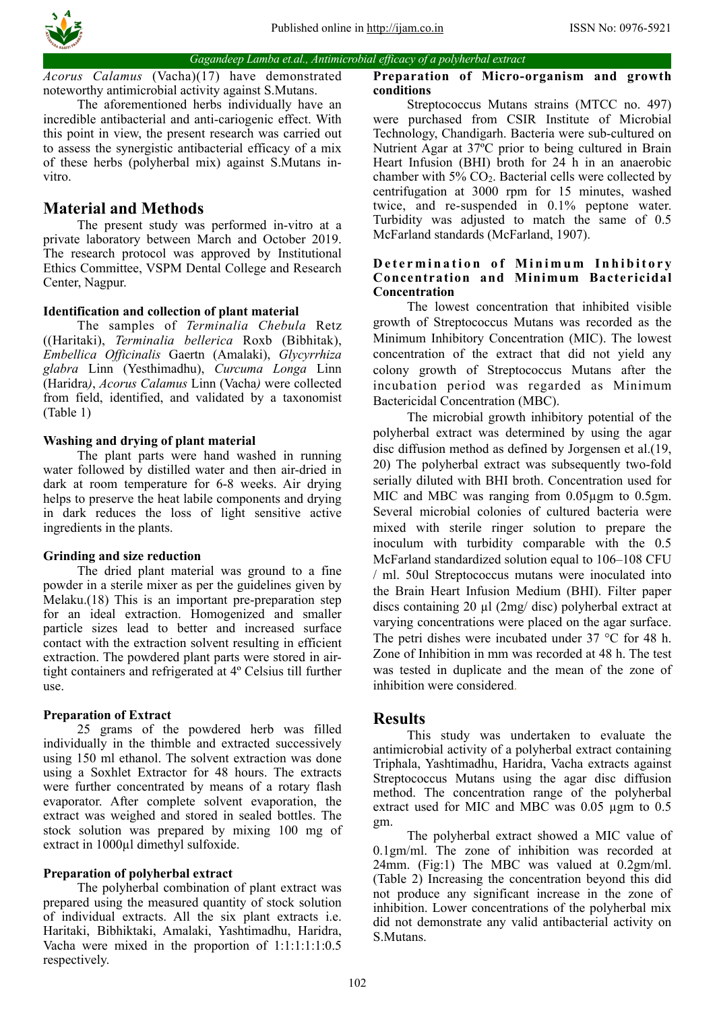

*Gagandeep Lamba et.al., Antimicrobial efficacy of a polyherbal extract*

*Acorus Calamus* (Vacha)(17) have demonstrated noteworthy antimicrobial activity against S.Mutans.

The aforementioned herbs individually have an incredible antibacterial and anti-cariogenic effect. With this point in view, the present research was carried out to assess the synergistic antibacterial efficacy of a mix of these herbs (polyherbal mix) against S.Mutans invitro.

# **Material and Methods**

The present study was performed in-vitro at a private laboratory between March and October 2019. The research protocol was approved by Institutional Ethics Committee, VSPM Dental College and Research Center, Nagpur.

## **Identification and collection of plant material**

The samples of *Terminalia Chebula* Retz ((Haritaki), *Terminalia bellerica* Roxb (Bibhitak), *Embellica Officinalis* Gaertn (Amalaki), *Glycyrrhiza glabra* Linn (Yesthimadhu), *Curcuma Longa* Linn (Haridra*)*, *Acorus Calamus* Linn (Vacha*)* were collected from field, identified, and validated by a taxonomist (Table 1)

## **Washing and drying of plant material**

The plant parts were hand washed in running water followed by distilled water and then air-dried in dark at room temperature for 6-8 weeks. Air drying helps to preserve the heat labile components and drying in dark reduces the loss of light sensitive active ingredients in the plants.

### **Grinding and size reduction**

The dried plant material was ground to a fine powder in a sterile mixer as per the guidelines given by Melaku.(18) This is an important pre-preparation step for an ideal extraction. Homogenized and smaller particle sizes lead to better and increased surface contact with the extraction solvent resulting in efficient extraction. The powdered plant parts were stored in airtight containers and refrigerated at 4º Celsius till further use.

## **Preparation of Extract**

25 grams of the powdered herb was filled individually in the thimble and extracted successively using 150 ml ethanol. The solvent extraction was done using a Soxhlet Extractor for 48 hours. The extracts were further concentrated by means of a rotary flash evaporator. After complete solvent evaporation, the extract was weighed and stored in sealed bottles. The stock solution was prepared by mixing 100 mg of extract in 1000µl dimethyl sulfoxide.

### **Preparation of polyherbal extract**

The polyherbal combination of plant extract was prepared using the measured quantity of stock solution of individual extracts. All the six plant extracts i.e. Haritaki, Bibhiktaki, Amalaki, Yashtimadhu, Haridra, Vacha were mixed in the proportion of 1:1:1:1:1:0.5 respectively.

#### **Preparation of Micro-organism and growth conditions**

Streptococcus Mutans strains (MTCC no. 497) were purchased from CSIR Institute of Microbial Technology, Chandigarh. Bacteria were sub-cultured on Nutrient Agar at 37ºC prior to being cultured in Brain Heart Infusion (BHI) broth for 24 h in an anaerobic chamber with  $5\%$  CO<sub>2</sub>. Bacterial cells were collected by centrifugation at 3000 rpm for 15 minutes, washed twice, and re-suspended in 0.1% peptone water. Turbidity was adjusted to match the same of 0.5 McFarland standards (McFarland, 1907).

### **Determination of Minimum Inhibitory Concentration and Minimum Bactericidal Concentration**

The lowest concentration that inhibited visible growth of Streptococcus Mutans was recorded as the Minimum Inhibitory Concentration (MIC). The lowest concentration of the extract that did not yield any colony growth of Streptococcus Mutans after the incubation period was regarded as Minimum Bactericidal Concentration (MBC).

The microbial growth inhibitory potential of the polyherbal extract was determined by using the agar disc diffusion method as defined by Jorgensen et al.(19, 20) The polyherbal extract was subsequently two-fold serially diluted with BHI broth. Concentration used for MIC and MBC was ranging from 0.05µgm to 0.5gm. Several microbial colonies of cultured bacteria were mixed with sterile ringer solution to prepare the inoculum with turbidity comparable with the 0.5 McFarland standardized solution equal to 106–108 CFU / ml. 50ul Streptococcus mutans were inoculated into the Brain Heart Infusion Medium (BHI). Filter paper discs containing 20 µl (2mg/ disc) polyherbal extract at varying concentrations were placed on the agar surface. The petri dishes were incubated under 37 °C for 48 h. Zone of Inhibition in mm was recorded at 48 h. The test was tested in duplicate and the mean of the zone of inhibition were considered.

# **Results**

This study was undertaken to evaluate the antimicrobial activity of a polyherbal extract containing Triphala, Yashtimadhu, Haridra, Vacha extracts against Streptococcus Mutans using the agar disc diffusion method. The concentration range of the polyherbal extract used for MIC and MBC was 0.05 µgm to 0.5 gm.

The polyherbal extract showed a MIC value of 0.1gm/ml. The zone of inhibition was recorded at 24mm. (Fig:1) The MBC was valued at 0.2gm/ml. (Table 2) Increasing the concentration beyond this did not produce any significant increase in the zone of inhibition. Lower concentrations of the polyherbal mix did not demonstrate any valid antibacterial activity on S.Mutans.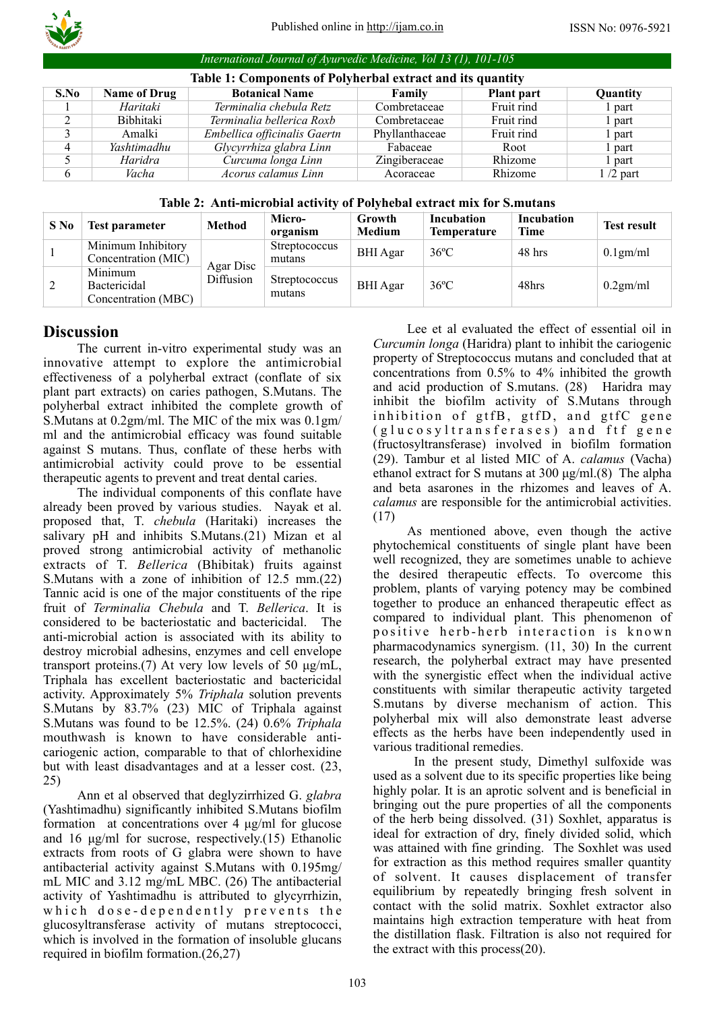

*International Journal of Ayurvedic Medicine, Vol 13 (1), 101-105*

| Table 1: Components of Polyherbal extract and its quantity |                     |                              |                |            |            |  |  |  |  |  |  |
|------------------------------------------------------------|---------------------|------------------------------|----------------|------------|------------|--|--|--|--|--|--|
| S.No                                                       | <b>Name of Drug</b> | <b>Botanical Name</b>        | Family         | Plant part | Quantity   |  |  |  |  |  |  |
|                                                            | Haritaki            | Terminalia chebula Retz      | Combretaceae   | Fruit rind | l part     |  |  |  |  |  |  |
|                                                            | Bibhitaki           | Terminalia bellerica Roxb    | Combretaceae   | Fruit rind | l part     |  |  |  |  |  |  |
|                                                            | Amalki              | Embellica officinalis Gaertn | Phyllanthaceae | Fruit rind | l part     |  |  |  |  |  |  |
| 4                                                          | Yashtimadhu         | Glycyrrhiza glabra Linn      | Fabaceae       | Root       | l part     |  |  |  |  |  |  |
|                                                            | Haridra             | Curcuma longa Linn           | Zingiberaceae  | Rhizome    | l part     |  |  |  |  |  |  |
| 6                                                          | Vacha               | Acorus calamus Linn          | Acoraceae      | Rhizome    | $1/2$ part |  |  |  |  |  |  |

**Table 2: Anti-microbial activity of Polyhebal extract mix for S.mutans**

| S No | Test parameter                                 | <b>Method</b>          | Micro-<br>organism      | Growth<br>Medium | Incubation<br><b>Temperature</b> | Incubation<br>Time | <b>Test result</b> |
|------|------------------------------------------------|------------------------|-------------------------|------------------|----------------------------------|--------------------|--------------------|
|      | Minimum Inhibitory<br>Concentration (MIC)      | Agar Disc<br>Diffusion | Streptococcus<br>mutans | <b>BHI</b> Agar  | $36^{\circ}$ C                   | 48 hrs             | $0.1$ gm/ml        |
|      | Minimum<br>Bactericidal<br>Concentration (MBC) |                        | Streptococcus<br>mutans | <b>BHI</b> Agar  | $36^{\circ}$ C                   | 48hrs              | 0.2gm/ml           |

# **Discussion**

The current in-vitro experimental study was an innovative attempt to explore the antimicrobial effectiveness of a polyherbal extract (conflate of six plant part extracts) on caries pathogen, S.Mutans. The polyherbal extract inhibited the complete growth of S.Mutans at 0.2gm/ml. The MIC of the mix was 0.1gm/ ml and the antimicrobial efficacy was found suitable against S mutans. Thus, conflate of these herbs with antimicrobial activity could prove to be essential therapeutic agents to prevent and treat dental caries.

The individual components of this conflate have already been proved by various studies. Nayak et al. proposed that, T. *chebula* (Haritaki) increases the salivary pH and inhibits S.Mutans.(21) Mizan et al proved strong antimicrobial activity of methanolic extracts of T. *Bellerica* (Bhibitak) fruits against S.Mutans with a zone of inhibition of 12.5 mm.(22) Tannic acid is one of the major constituents of the ripe fruit of *Terminalia Chebula* and T. *Bellerica*. It is considered to be bacteriostatic and bactericidal. The anti-microbial action is associated with its ability to destroy microbial adhesins, enzymes and cell envelope transport proteins.(7) At very low levels of 50 µg/mL, Triphala has excellent bacteriostatic and bactericidal activity. Approximately 5% *Triphala* solution prevents S.Mutans by 83.7% (23) MIC of Triphala against S.Mutans was found to be 12.5%. (24) 0.6% *Triphala* mouthwash is known to have considerable anticariogenic action, comparable to that of chlorhexidine but with least disadvantages and at a lesser cost. (23, 25)

Ann et al observed that deglyzirrhized G. *glabra* (Yashtimadhu) significantly inhibited S.Mutans biofilm formation at concentrations over 4 µg/ml for glucose and 16 µg/ml for sucrose, respectively.(15) Ethanolic extracts from roots of G glabra were shown to have antibacterial activity against S.Mutans with 0.195mg/ mL MIC and 3.12 mg/mL MBC. (26) The antibacterial activity of Yashtimadhu is attributed to glycyrrhizin, which dose-dependently prevents the glucosyltransferase activity of mutans streptococci, which is involved in the formation of insoluble glucans required in biofilm formation.(26,27)

Lee et al evaluated the effect of essential oil in *Curcumin longa* (Haridra) plant to inhibit the cariogenic property of Streptococcus mutans and concluded that at concentrations from 0.5% to 4% inhibited the growth and acid production of S.mutans. (28) Haridra may inhibit the biofilm activity of S.Mutans through inhibition of gtfB, gtfD, and gtfC gene (glucosyltransferases) and ftf gene (fructosyltransferase) involved in biofilm formation (29). Tambur et al listed MIC of A. *calamus* (Vacha) ethanol extract for S mutans at 300 µg/ml.(8) The alpha and beta asarones in the rhizomes and leaves of A. *calamus* are responsible for the antimicrobial activities. (17)

As mentioned above, even though the active phytochemical constituents of single plant have been well recognized, they are sometimes unable to achieve the desired therapeutic effects. To overcome this problem, plants of varying potency may be combined together to produce an enhanced therapeutic effect as compared to individual plant. This phenomenon of positive herb-herb interaction is known pharmacodynamics synergism. (11, 30) In the current research, the polyherbal extract may have presented with the synergistic effect when the individual active constituents with similar therapeutic activity targeted S.mutans by diverse mechanism of action. This polyherbal mix will also demonstrate least adverse effects as the herbs have been independently used in various traditional remedies.

 In the present study, Dimethyl sulfoxide was used as a solvent due to its specific properties like being highly polar. It is an aprotic solvent and is beneficial in bringing out the pure properties of all the components of the herb being dissolved. (31) Soxhlet, apparatus is ideal for extraction of dry, finely divided solid, which was attained with fine grinding. The Soxhlet was used for extraction as this method requires smaller quantity of solvent. It causes displacement of transfer equilibrium by repeatedly bringing fresh solvent in contact with the solid matrix. Soxhlet extractor also maintains high extraction temperature with heat from the distillation flask. Filtration is also not required for the extract with this process(20).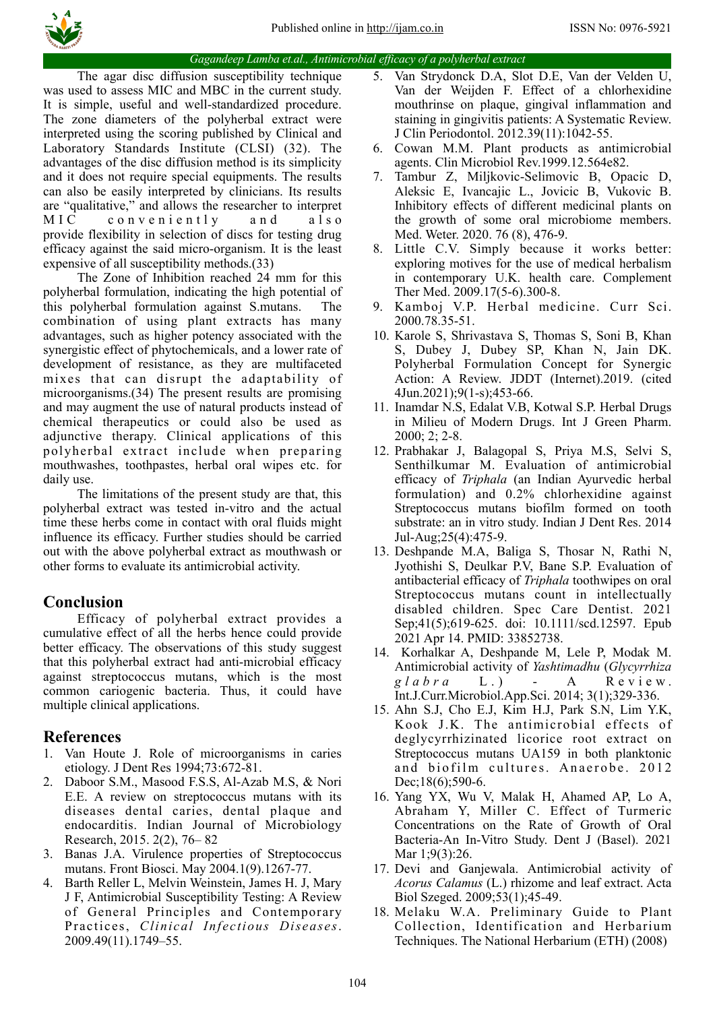

#### *Gagandeep Lamba et.al., Antimicrobial efficacy of a polyherbal extract*

The agar disc diffusion susceptibility technique was used to assess MIC and MBC in the current study. It is simple, useful and well-standardized procedure. The zone diameters of the polyherbal extract were interpreted using the scoring published by Clinical and Laboratory Standards Institute (CLSI) (32). The advantages of the disc diffusion method is its simplicity and it does not require special equipments. The results can also be easily interpreted by clinicians. Its results are "qualitative," and allows the researcher to interpret  $MIC$  conveniently and also provide flexibility in selection of discs for testing drug efficacy against the said micro-organism. It is the least expensive of all susceptibility methods.(33)

The Zone of Inhibition reached 24 mm for this polyherbal formulation, indicating the high potential of this polyherbal formulation against S.mutans. The combination of using plant extracts has many advantages, such as higher potency associated with the synergistic effect of phytochemicals, and a lower rate of development of resistance, as they are multifaceted mixes that can disrupt the adaptability of microorganisms.(34) The present results are promising and may augment the use of natural products instead of chemical therapeutics or could also be used as adjunctive therapy. Clinical applications of this polyherbal extract include when preparing mouthwashes, toothpastes, herbal oral wipes etc. for daily use.

The limitations of the present study are that, this polyherbal extract was tested in-vitro and the actual time these herbs come in contact with oral fluids might influence its efficacy. Further studies should be carried out with the above polyherbal extract as mouthwash or other forms to evaluate its antimicrobial activity.

# **Conclusion**

Efficacy of polyherbal extract provides a cumulative effect of all the herbs hence could provide better efficacy. The observations of this study suggest that this polyherbal extract had anti-microbial efficacy against streptococcus mutans, which is the most common cariogenic bacteria. Thus, it could have multiple clinical applications.

# **References**

- 1. Van Houte J. Role of microorganisms in caries etiology. J Dent Res 1994;73:672-81.
- 2. Daboor S.M., Masood F.S.S, Al-Azab M.S, & Nori E.E. A review on streptococcus mutans with its diseases dental caries, dental plaque and endocarditis. Indian Journal of Microbiology Research, 2015. 2(2), 76– 82
- 3. Banas J.A. Virulence properties of Streptococcus mutans. Front Biosci. May 2004.1(9).1267-77.
- 4. Barth Reller L, Melvin Weinstein, James H. J, Mary J F, Antimicrobial Susceptibility Testing: A Review of General Principles and Contemporary Practices, *Clinical Infectious Diseases*. 2009.49(11).1749–55.
- 5. Van Strydonck D.A, Slot D.E, Van der Velden U, Van der Weijden F. Effect of a chlorhexidine mouthrinse on plaque, gingival inflammation and staining in gingivitis patients: A Systematic Review. J Clin Periodontol. 2012.39(11):1042-55.
- 6. Cowan M.M. Plant products as antimicrobial agents. Clin Microbiol Rev.1999.12.564e82.
- 7. Tambur Z, Miljkovic-Selimovic B, Opacic D, Aleksic E, Ivancajic L., Jovicic B, Vukovic B. Inhibitory effects of different medicinal plants on the growth of some oral microbiome members. Med. Weter. 2020. 76 (8), 476-9.
- 8. Little C.V. Simply because it works better: exploring motives for the use of medical herbalism in contemporary U.K. health care. Complement Ther Med. 2009.17(5-6).300-8.
- 9. Kamboj V.P. Herbal medicine. Curr Sci. 2000.78.35-51.
- 10. Karole S, Shrivastava S, Thomas S, Soni B, Khan S, Dubey J, Dubey SP, Khan N, Jain DK. Polyherbal Formulation Concept for Synergic Action: A Review. JDDT (Internet).2019. (cited 4Jun.2021);9(1-s);453-66.
- 11. Inamdar N.S, Edalat V.B, Kotwal S.P. Herbal Drugs in Milieu of Modern Drugs. Int J Green Pharm. 2000; 2; 2-8.
- 12. Prabhakar J, Balagopal S, Priya M.S, Selvi S, Senthilkumar M. Evaluation of antimicrobial efficacy of *Triphala* (an Indian Ayurvedic herbal formulation) and 0.2% chlorhexidine against Streptococcus mutans biofilm formed on tooth substrate: an in vitro study. Indian J Dent Res. 2014 Jul-Aug;25(4):475-9.
- 13. Deshpande M.A, Baliga S, Thosar N, Rathi N, Jyothishi S, Deulkar P.V, Bane S.P. Evaluation of antibacterial efficacy of *Triphala* toothwipes on oral Streptococcus mutans count in intellectually disabled children. Spec Care Dentist. 2021 Sep;41(5);619-625. doi: 10.1111/scd.12597. Epub 2021 Apr 14. PMID: 33852738.
- 14. Korhalkar A, Deshpande M, Lele P, Modak M. Antimicrobial activity of *Yashtimadhu* (*Glycyrrhiza glabra* L.) - A Review. Int.J.Curr.Microbiol.App.Sci. 2014; 3(1);329-336.
- 15. Ahn S.J, Cho E.J, Kim H.J, Park S.N, Lim Y.K, Kook J.K. The antimicrobial effects of deglycyrrhizinated licorice root extract on Streptococcus mutans UA159 in both planktonic and biofilm cultures. Anaerobe. 2012 Dec;18(6);590-6.
- 16. Yang YX, Wu V, Malak H, Ahamed AP, Lo A, Abraham Y, Miller C. Effect of Turmeric Concentrations on the Rate of Growth of Oral Bacteria-An In-Vitro Study. Dent J (Basel). 2021 Mar 1;9(3):26.
- 17. Devi and Ganjewala. Antimicrobial activity of *Acorus Calamus* (L.) rhizome and leaf extract. Acta Biol Szeged. 2009;53(1);45-49.
- 18. Melaku W.A. Preliminary Guide to Plant Collection, Identification and Herbarium Techniques. The National Herbarium (ETH) (2008)